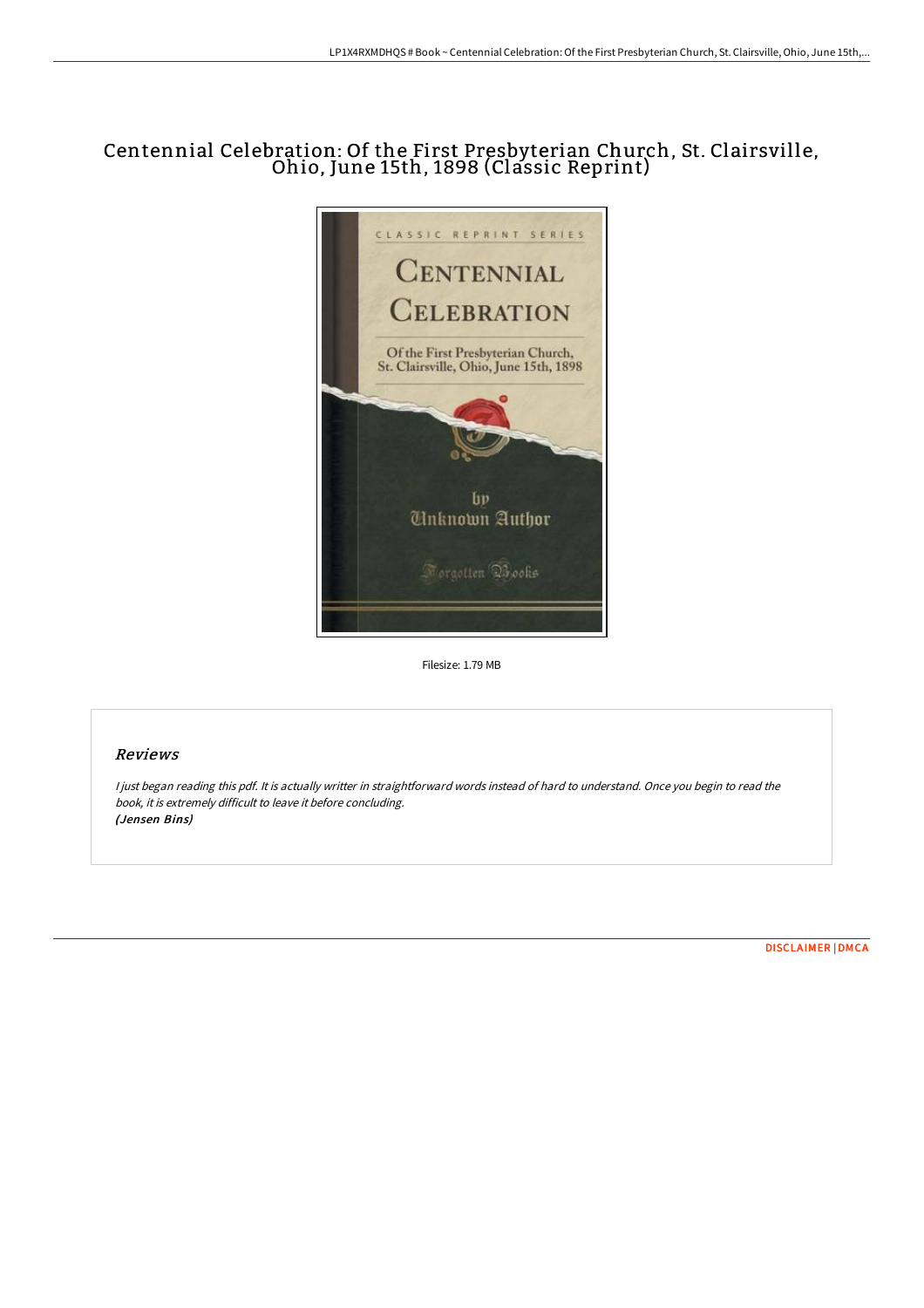## Centennial Celebration: Of the First Presbyterian Church, St. Clairsville, Ohio, June 15th, <sup>1898</sup> (Classic Reprint)



Filesize: 1.79 MB

## Reviews

<sup>I</sup> just began reading this pdf. It is actually writter in straightforward words instead of hard to understand. Once you begin to read the book, it is extremely difficult to leave it before concluding. (Jensen Bins)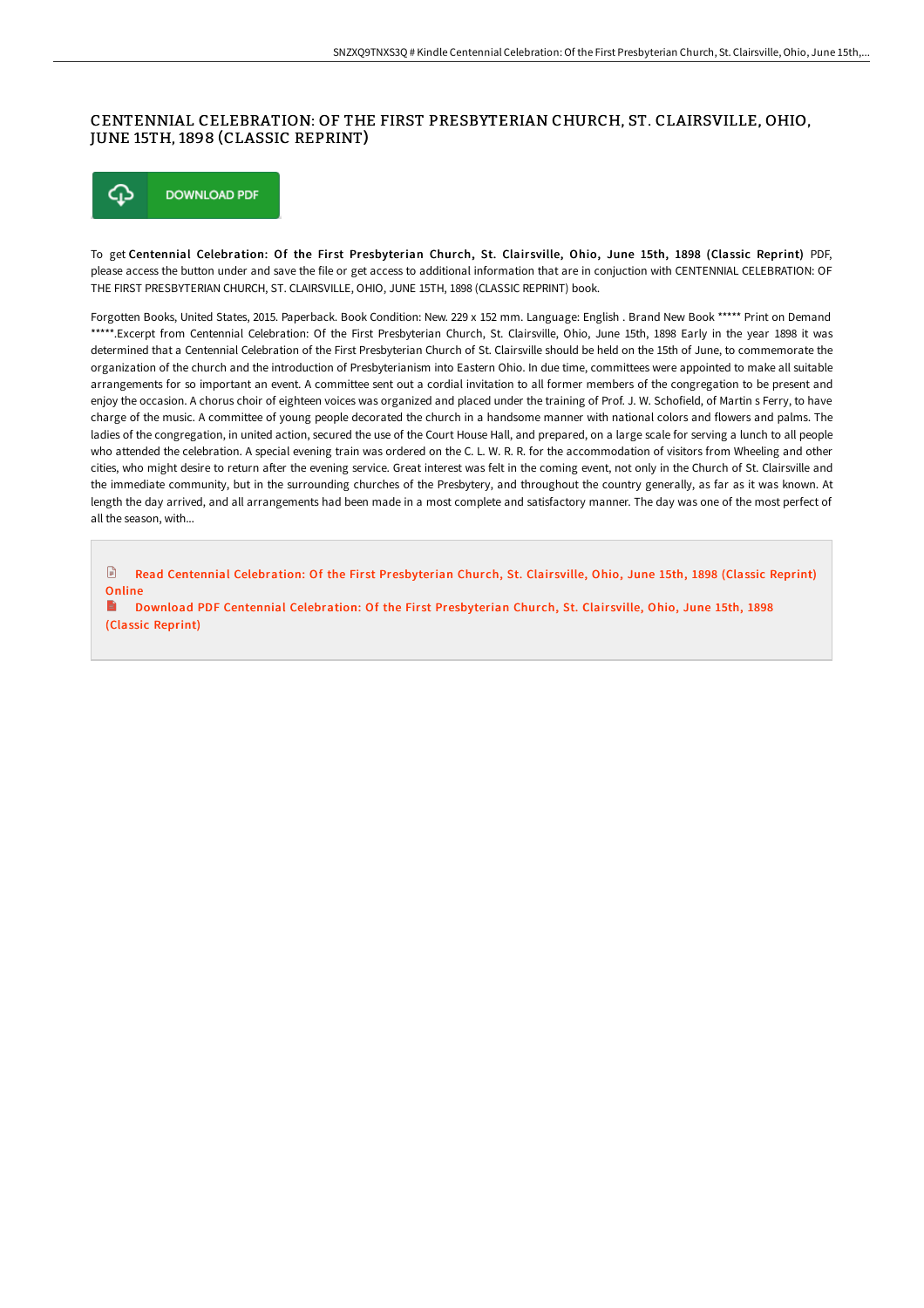## CENTENNIAL CELEBRATION: OF THE FIRST PRESBYTERIAN CHURCH, ST. CLAIRSVILLE, OHIO, JUNE 15TH, 1898 (CLASSIC REPRINT)



To get Centennial Celebration: Of the First Presbyterian Church, St. Clairsville, Ohio, June 15th, 1898 (Classic Reprint) PDF, please access the button under and save the file or get access to additional information that are in conjuction with CENTENNIAL CELEBRATION: OF THE FIRST PRESBYTERIAN CHURCH, ST. CLAIRSVILLE, OHIO, JUNE 15TH, 1898 (CLASSIC REPRINT) book.

Forgotten Books, United States, 2015. Paperback. Book Condition: New. 229 x 152 mm. Language: English . Brand New Book \*\*\*\*\* Print on Demand \*\*\*\*\*.Excerpt from Centennial Celebration: Of the First Presbyterian Church, St. Clairsville, Ohio, June 15th, 1898 Early in the year 1898 it was determined that a Centennial Celebration of the First Presbyterian Church of St. Clairsville should be held on the 15th of June, to commemorate the organization of the church and the introduction of Presbyterianism into Eastern Ohio. In due time, committees were appointed to make all suitable arrangements for so important an event. A committee sent out a cordial invitation to all former members of the congregation to be present and enjoy the occasion. A chorus choir of eighteen voices was organized and placed under the training of Prof. J. W. Schofield, of Martin s Ferry, to have charge of the music. A committee of young people decorated the church in a handsome manner with national colors and flowers and palms. The ladies of the congregation, in united action, secured the use of the Court House Hall, and prepared, on a large scale for serving a lunch to all people who attended the celebration. A special evening train was ordered on the C. L. W. R. R. for the accommodation of visitors from Wheeling and other cities, who might desire to return aFer the evening service. Great interest was felt in the coming event, not only in the Church of St. Clairsville and the immediate community, but in the surrounding churches of the Presbytery, and throughout the country generally, as far as it was known. At length the day arrived, and all arrangements had been made in a most complete and satisfactory manner. The day was one of the most perfect of all the season, with...

 $\mathbb{R}$ Read Centennial Celebration: Of the First [Presbyterian](http://www.bookdirs.com/centennial-celebration-of-the-first-presbyterian-1.html) Church, St. Clairsville, Ohio, June 15th, 1898 (Classic Reprint) Online

Download PDF Centennial Celebration: Of the First [Presbyterian](http://www.bookdirs.com/centennial-celebration-of-the-first-presbyterian-1.html) Church, St. Clairsville, Ohio, June 15th, 1898 (Classic Reprint)